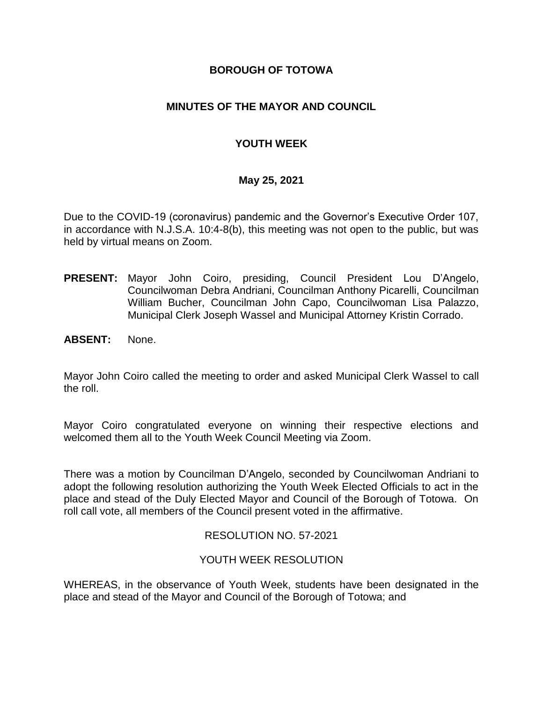### **BOROUGH OF TOTOWA**

## **MINUTES OF THE MAYOR AND COUNCIL**

## **YOUTH WEEK**

### **May 25, 2021**

Due to the COVID-19 (coronavirus) pandemic and the Governor's Executive Order 107, in accordance with N.J.S.A. 10:4-8(b), this meeting was not open to the public, but was held by virtual means on Zoom.

- **PRESENT:** Mayor John Coiro, presiding, Council President Lou D'Angelo, Councilwoman Debra Andriani, Councilman Anthony Picarelli, Councilman William Bucher, Councilman John Capo, Councilwoman Lisa Palazzo, Municipal Clerk Joseph Wassel and Municipal Attorney Kristin Corrado.
- **ABSENT:** None.

Mayor John Coiro called the meeting to order and asked Municipal Clerk Wassel to call the roll.

Mayor Coiro congratulated everyone on winning their respective elections and welcomed them all to the Youth Week Council Meeting via Zoom.

There was a motion by Councilman D'Angelo, seconded by Councilwoman Andriani to adopt the following resolution authorizing the Youth Week Elected Officials to act in the place and stead of the Duly Elected Mayor and Council of the Borough of Totowa. On roll call vote, all members of the Council present voted in the affirmative.

### RESOLUTION NO. 57-2021

### YOUTH WEEK RESOLUTION

WHEREAS, in the observance of Youth Week, students have been designated in the place and stead of the Mayor and Council of the Borough of Totowa; and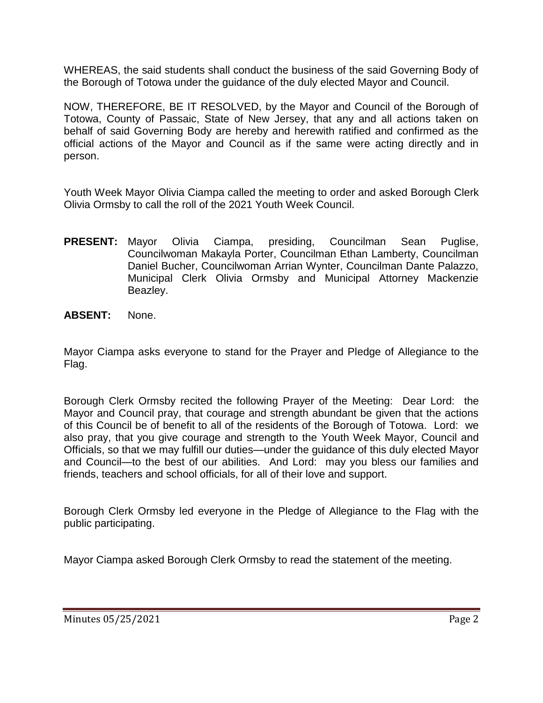WHEREAS, the said students shall conduct the business of the said Governing Body of the Borough of Totowa under the guidance of the duly elected Mayor and Council.

NOW, THEREFORE, BE IT RESOLVED, by the Mayor and Council of the Borough of Totowa, County of Passaic, State of New Jersey, that any and all actions taken on behalf of said Governing Body are hereby and herewith ratified and confirmed as the official actions of the Mayor and Council as if the same were acting directly and in person.

Youth Week Mayor Olivia Ciampa called the meeting to order and asked Borough Clerk Olivia Ormsby to call the roll of the 2021 Youth Week Council.

- **PRESENT:** Mayor Olivia Ciampa, presiding, Councilman Sean Puglise, Councilwoman Makayla Porter, Councilman Ethan Lamberty, Councilman Daniel Bucher, Councilwoman Arrian Wynter, Councilman Dante Palazzo, Municipal Clerk Olivia Ormsby and Municipal Attorney Mackenzie Beazley.
- **ABSENT:** None.

Mayor Ciampa asks everyone to stand for the Prayer and Pledge of Allegiance to the Flag.

Borough Clerk Ormsby recited the following Prayer of the Meeting: Dear Lord: the Mayor and Council pray, that courage and strength abundant be given that the actions of this Council be of benefit to all of the residents of the Borough of Totowa. Lord: we also pray, that you give courage and strength to the Youth Week Mayor, Council and Officials, so that we may fulfill our duties—under the guidance of this duly elected Mayor and Council—to the best of our abilities. And Lord: may you bless our families and friends, teachers and school officials, for all of their love and support.

Borough Clerk Ormsby led everyone in the Pledge of Allegiance to the Flag with the public participating.

Mayor Ciampa asked Borough Clerk Ormsby to read the statement of the meeting.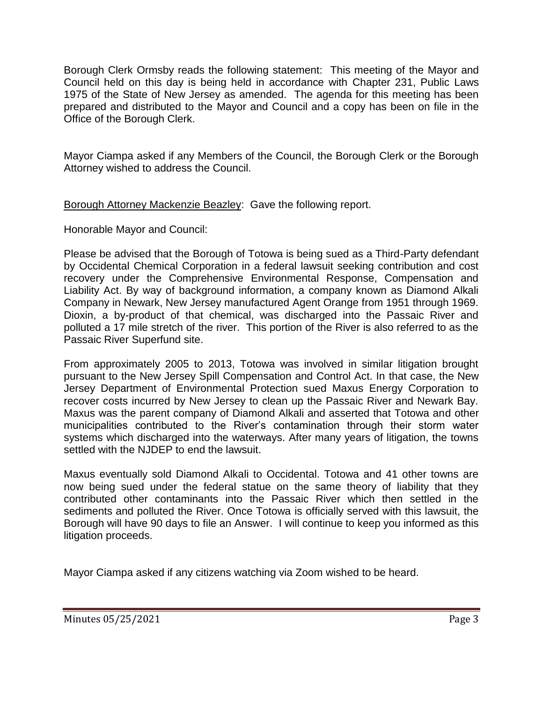Borough Clerk Ormsby reads the following statement: This meeting of the Mayor and Council held on this day is being held in accordance with Chapter 231, Public Laws 1975 of the State of New Jersey as amended. The agenda for this meeting has been prepared and distributed to the Mayor and Council and a copy has been on file in the Office of the Borough Clerk.

Mayor Ciampa asked if any Members of the Council, the Borough Clerk or the Borough Attorney wished to address the Council.

Borough Attorney Mackenzie Beazley: Gave the following report.

Honorable Mayor and Council:

Please be advised that the Borough of Totowa is being sued as a Third-Party defendant by Occidental Chemical Corporation in a federal lawsuit seeking contribution and cost recovery under the Comprehensive Environmental Response, Compensation and Liability Act. By way of background information, a company known as Diamond Alkali Company in Newark, New Jersey manufactured Agent Orange from 1951 through 1969. Dioxin, a by-product of that chemical, was discharged into the Passaic River and polluted a 17 mile stretch of the river. This portion of the River is also referred to as the Passaic River Superfund site.

From approximately 2005 to 2013, Totowa was involved in similar litigation brought pursuant to the New Jersey Spill Compensation and Control Act. In that case, the New Jersey Department of Environmental Protection sued Maxus Energy Corporation to recover costs incurred by New Jersey to clean up the Passaic River and Newark Bay. Maxus was the parent company of Diamond Alkali and asserted that Totowa and other municipalities contributed to the River's contamination through their storm water systems which discharged into the waterways. After many years of litigation, the towns settled with the NJDEP to end the lawsuit.

Maxus eventually sold Diamond Alkali to Occidental. Totowa and 41 other towns are now being sued under the federal statue on the same theory of liability that they contributed other contaminants into the Passaic River which then settled in the sediments and polluted the River. Once Totowa is officially served with this lawsuit, the Borough will have 90 days to file an Answer. I will continue to keep you informed as this litigation proceeds.

Mayor Ciampa asked if any citizens watching via Zoom wished to be heard.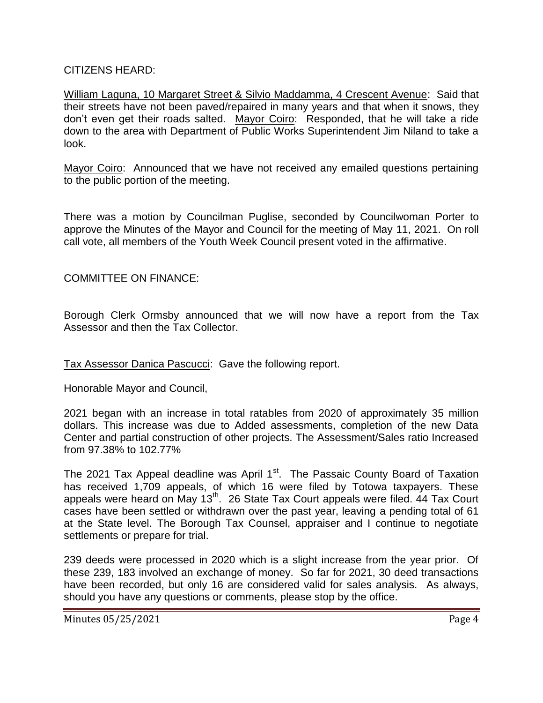### CITIZENS HEARD:

William Laguna, 10 Margaret Street & Silvio Maddamma, 4 Crescent Avenue: Said that their streets have not been paved/repaired in many years and that when it snows, they don't even get their roads salted. Mayor Coiro: Responded, that he will take a ride down to the area with Department of Public Works Superintendent Jim Niland to take a look.

Mayor Coiro: Announced that we have not received any emailed questions pertaining to the public portion of the meeting.

There was a motion by Councilman Puglise, seconded by Councilwoman Porter to approve the Minutes of the Mayor and Council for the meeting of May 11, 2021. On roll call vote, all members of the Youth Week Council present voted in the affirmative.

## COMMITTEE ON FINANCE:

Borough Clerk Ormsby announced that we will now have a report from the Tax Assessor and then the Tax Collector.

### Tax Assessor Danica Pascucci: Gave the following report.

Honorable Mayor and Council,

2021 began with an increase in total ratables from 2020 of approximately 35 million dollars. This increase was due to Added assessments, completion of the new Data Center and partial construction of other projects. The Assessment/Sales ratio Increased from 97.38% to 102.77%

The 2021 Tax Appeal deadline was April 1<sup>st</sup>. The Passaic County Board of Taxation has received 1,709 appeals, of which 16 were filed by Totowa taxpayers. These appeals were heard on May 13<sup>th</sup>. 26 State Tax Court appeals were filed. 44 Tax Court cases have been settled or withdrawn over the past year, leaving a pending total of 61 at the State level. The Borough Tax Counsel, appraiser and I continue to negotiate settlements or prepare for trial.

239 deeds were processed in 2020 which is a slight increase from the year prior. Of these 239, 183 involved an exchange of money. So far for 2021, 30 deed transactions have been recorded, but only 16 are considered valid for sales analysis. As always, should you have any questions or comments, please stop by the office.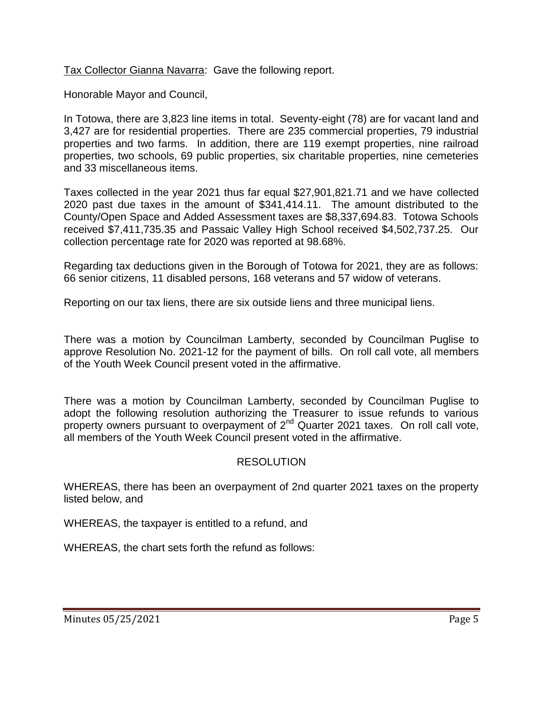Tax Collector Gianna Navarra: Gave the following report.

Honorable Mayor and Council,

In Totowa, there are 3,823 line items in total. Seventy-eight (78) are for vacant land and 3,427 are for residential properties. There are 235 commercial properties, 79 industrial properties and two farms. In addition, there are 119 exempt properties, nine railroad properties, two schools, 69 public properties, six charitable properties, nine cemeteries and 33 miscellaneous items.

Taxes collected in the year 2021 thus far equal \$27,901,821.71 and we have collected 2020 past due taxes in the amount of \$341,414.11. The amount distributed to the County/Open Space and Added Assessment taxes are \$8,337,694.83. Totowa Schools received \$7,411,735.35 and Passaic Valley High School received \$4,502,737.25. Our collection percentage rate for 2020 was reported at 98.68%.

Regarding tax deductions given in the Borough of Totowa for 2021, they are as follows: 66 senior citizens, 11 disabled persons, 168 veterans and 57 widow of veterans.

Reporting on our tax liens, there are six outside liens and three municipal liens.

There was a motion by Councilman Lamberty, seconded by Councilman Puglise to approve Resolution No. 2021-12 for the payment of bills. On roll call vote, all members of the Youth Week Council present voted in the affirmative.

There was a motion by Councilman Lamberty, seconded by Councilman Puglise to adopt the following resolution authorizing the Treasurer to issue refunds to various property owners pursuant to overpayment of 2<sup>nd</sup> Quarter 2021 taxes. On roll call vote, all members of the Youth Week Council present voted in the affirmative.

# RESOLUTION

WHEREAS, there has been an overpayment of 2nd quarter 2021 taxes on the property listed below, and

WHEREAS, the taxpayer is entitled to a refund, and

WHEREAS, the chart sets forth the refund as follows: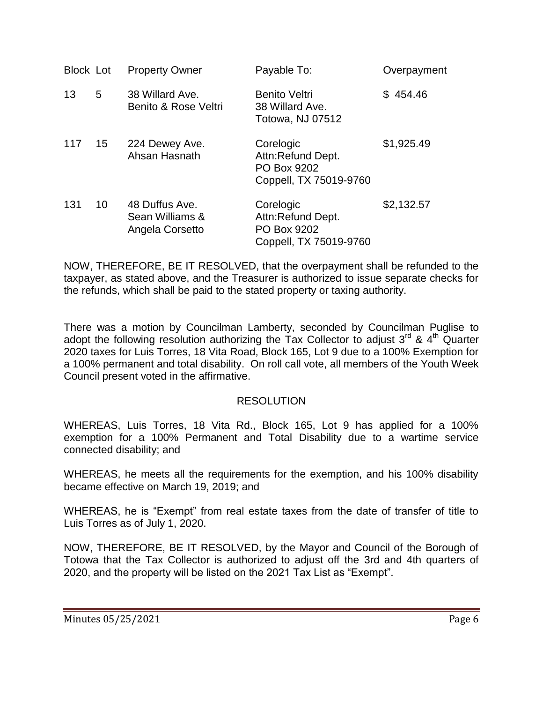| <b>Block Lot</b> |    | <b>Property Owner</b>                                | Payable To:                                                             | Overpayment  |
|------------------|----|------------------------------------------------------|-------------------------------------------------------------------------|--------------|
| 13               | 5  | 38 Willard Ave.<br>Benito & Rose Veltri              | <b>Benito Veltri</b><br>38 Willard Ave.<br>Totowa, NJ 07512             | 454.46<br>S. |
| 117              | 15 | 224 Dewey Ave.<br>Ahsan Hasnath                      | Corelogic<br>Attn:Refund Dept.<br>PO Box 9202<br>Coppell, TX 75019-9760 | \$1,925.49   |
| 131              | 10 | 48 Duffus Ave.<br>Sean Williams &<br>Angela Corsetto | Corelogic<br>Attn:Refund Dept.<br>PO Box 9202<br>Coppell, TX 75019-9760 | \$2,132.57   |

NOW, THEREFORE, BE IT RESOLVED, that the overpayment shall be refunded to the taxpayer, as stated above, and the Treasurer is authorized to issue separate checks for the refunds, which shall be paid to the stated property or taxing authority.

There was a motion by Councilman Lamberty, seconded by Councilman Puglise to adopt the following resolution authorizing the Tax Collector to adjust  $3^{rd}$  &  $4^{th}$  Quarter 2020 taxes for Luis Torres, 18 Vita Road, Block 165, Lot 9 due to a 100% Exemption for a 100% permanent and total disability. On roll call vote, all members of the Youth Week Council present voted in the affirmative.

### RESOLUTION

WHEREAS, Luis Torres, 18 Vita Rd., Block 165, Lot 9 has applied for a 100% exemption for a 100% Permanent and Total Disability due to a wartime service connected disability; and

WHEREAS, he meets all the requirements for the exemption, and his 100% disability became effective on March 19, 2019; and

WHEREAS, he is "Exempt" from real estate taxes from the date of transfer of title to Luis Torres as of July 1, 2020.

NOW, THEREFORE, BE IT RESOLVED, by the Mayor and Council of the Borough of Totowa that the Tax Collector is authorized to adjust off the 3rd and 4th quarters of 2020, and the property will be listed on the 2021 Tax List as "Exempt".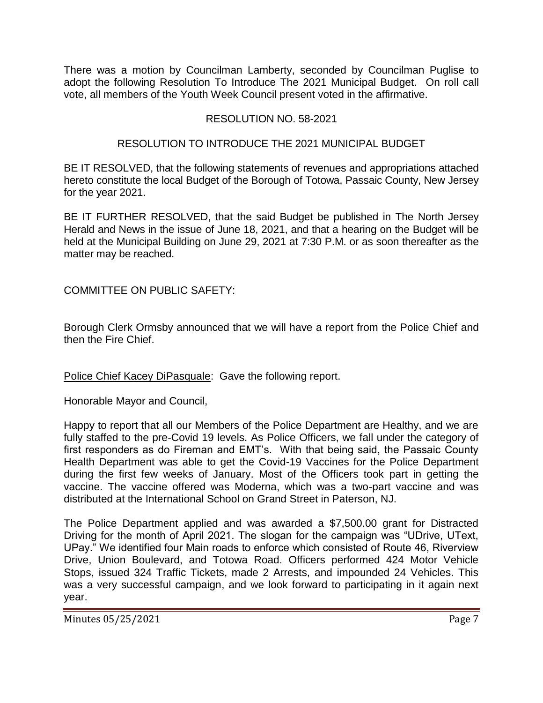There was a motion by Councilman Lamberty, seconded by Councilman Puglise to adopt the following Resolution To Introduce The 2021 Municipal Budget. On roll call vote, all members of the Youth Week Council present voted in the affirmative.

# RESOLUTION NO. 58-2021

### RESOLUTION TO INTRODUCE THE 2021 MUNICIPAL BUDGET

BE IT RESOLVED, that the following statements of revenues and appropriations attached hereto constitute the local Budget of the Borough of Totowa, Passaic County, New Jersey for the year 2021.

BE IT FURTHER RESOLVED, that the said Budget be published in The North Jersey Herald and News in the issue of June 18, 2021, and that a hearing on the Budget will be held at the Municipal Building on June 29, 2021 at 7:30 P.M. or as soon thereafter as the matter may be reached.

COMMITTEE ON PUBLIC SAFETY:

Borough Clerk Ormsby announced that we will have a report from the Police Chief and then the Fire Chief.

Police Chief Kacey DiPasquale: Gave the following report.

Honorable Mayor and Council,

Happy to report that all our Members of the Police Department are Healthy, and we are fully staffed to the pre-Covid 19 levels. As Police Officers, we fall under the category of first responders as do Fireman and EMT's. With that being said, the Passaic County Health Department was able to get the Covid-19 Vaccines for the Police Department during the first few weeks of January. Most of the Officers took part in getting the vaccine. The vaccine offered was Moderna, which was a two-part vaccine and was distributed at the International School on Grand Street in Paterson, NJ.

The Police Department applied and was awarded a \$7,500.00 grant for Distracted Driving for the month of April 2021. The slogan for the campaign was "UDrive, UText, UPay." We identified four Main roads to enforce which consisted of Route 46, Riverview Drive, Union Boulevard, and Totowa Road. Officers performed 424 Motor Vehicle Stops, issued 324 Traffic Tickets, made 2 Arrests, and impounded 24 Vehicles. This was a very successful campaign, and we look forward to participating in it again next year.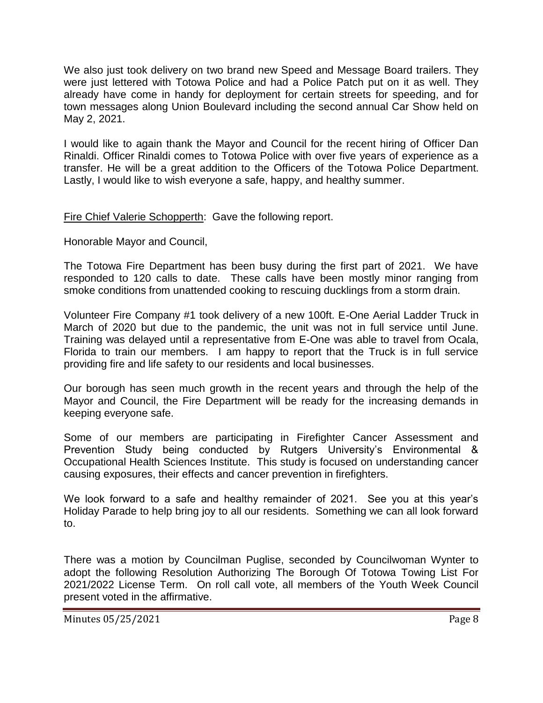We also just took delivery on two brand new Speed and Message Board trailers. They were just lettered with Totowa Police and had a Police Patch put on it as well. They already have come in handy for deployment for certain streets for speeding, and for town messages along Union Boulevard including the second annual Car Show held on May 2, 2021.

I would like to again thank the Mayor and Council for the recent hiring of Officer Dan Rinaldi. Officer Rinaldi comes to Totowa Police with over five years of experience as a transfer. He will be a great addition to the Officers of the Totowa Police Department. Lastly, I would like to wish everyone a safe, happy, and healthy summer.

Fire Chief Valerie Schopperth: Gave the following report.

Honorable Mayor and Council,

The Totowa Fire Department has been busy during the first part of 2021. We have responded to 120 calls to date. These calls have been mostly minor ranging from smoke conditions from unattended cooking to rescuing ducklings from a storm drain.

Volunteer Fire Company #1 took delivery of a new 100ft. E-One Aerial Ladder Truck in March of 2020 but due to the pandemic, the unit was not in full service until June. Training was delayed until a representative from E-One was able to travel from Ocala, Florida to train our members. I am happy to report that the Truck is in full service providing fire and life safety to our residents and local businesses.

Our borough has seen much growth in the recent years and through the help of the Mayor and Council, the Fire Department will be ready for the increasing demands in keeping everyone safe.

Some of our members are participating in Firefighter Cancer Assessment and Prevention Study being conducted by Rutgers University's Environmental & Occupational Health Sciences Institute. This study is focused on understanding cancer causing exposures, their effects and cancer prevention in firefighters.

We look forward to a safe and healthy remainder of 2021. See you at this year's Holiday Parade to help bring joy to all our residents. Something we can all look forward to.

There was a motion by Councilman Puglise, seconded by Councilwoman Wynter to adopt the following Resolution Authorizing The Borough Of Totowa Towing List For 2021/2022 License Term. On roll call vote, all members of the Youth Week Council present voted in the affirmative.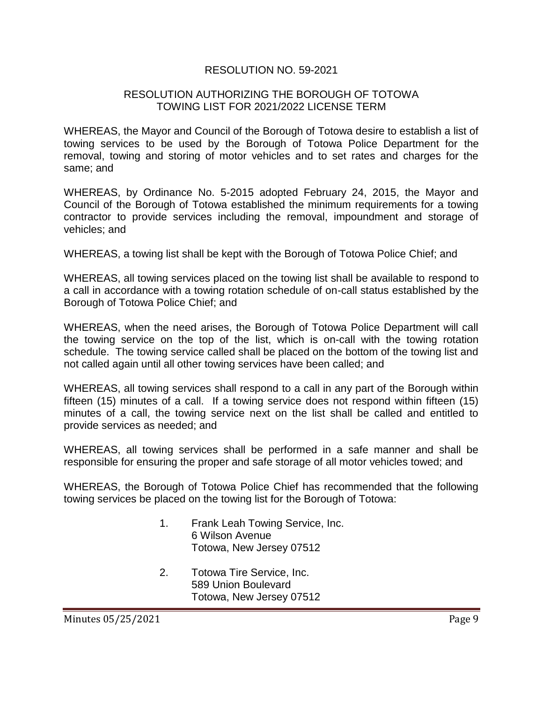# RESOLUTION NO. 59-2021

### RESOLUTION AUTHORIZING THE BOROUGH OF TOTOWA TOWING LIST FOR 2021/2022 LICENSE TERM

WHEREAS, the Mayor and Council of the Borough of Totowa desire to establish a list of towing services to be used by the Borough of Totowa Police Department for the removal, towing and storing of motor vehicles and to set rates and charges for the same; and

WHEREAS, by Ordinance No. 5-2015 adopted February 24, 2015, the Mayor and Council of the Borough of Totowa established the minimum requirements for a towing contractor to provide services including the removal, impoundment and storage of vehicles; and

WHEREAS, a towing list shall be kept with the Borough of Totowa Police Chief; and

WHEREAS, all towing services placed on the towing list shall be available to respond to a call in accordance with a towing rotation schedule of on-call status established by the Borough of Totowa Police Chief; and

WHEREAS, when the need arises, the Borough of Totowa Police Department will call the towing service on the top of the list, which is on-call with the towing rotation schedule. The towing service called shall be placed on the bottom of the towing list and not called again until all other towing services have been called; and

WHEREAS, all towing services shall respond to a call in any part of the Borough within fifteen (15) minutes of a call. If a towing service does not respond within fifteen (15) minutes of a call, the towing service next on the list shall be called and entitled to provide services as needed; and

WHEREAS, all towing services shall be performed in a safe manner and shall be responsible for ensuring the proper and safe storage of all motor vehicles towed; and

WHEREAS, the Borough of Totowa Police Chief has recommended that the following towing services be placed on the towing list for the Borough of Totowa:

- 1. Frank Leah Towing Service, Inc. 6 Wilson Avenue Totowa, New Jersey 07512
- 2. Totowa Tire Service, Inc. 589 Union Boulevard Totowa, New Jersey 07512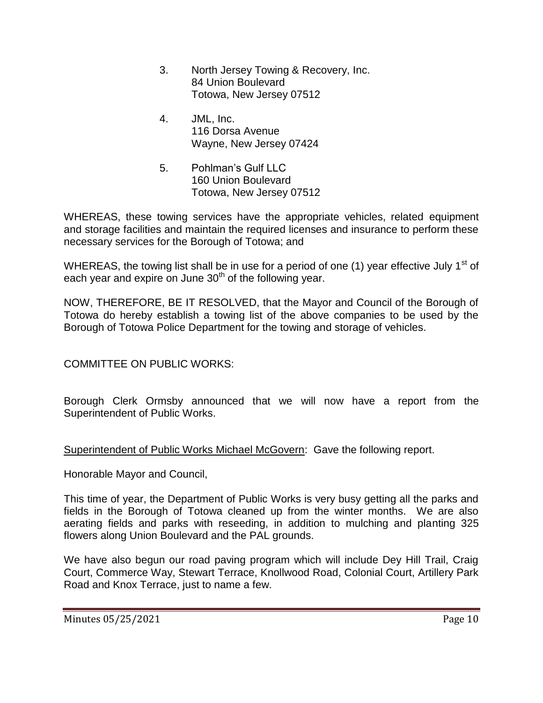- 3. North Jersey Towing & Recovery, Inc. 84 Union Boulevard Totowa, New Jersey 07512
- 4. JML, Inc. 116 Dorsa Avenue Wayne, New Jersey 07424
- 5. Pohlman's Gulf LLC 160 Union Boulevard Totowa, New Jersey 07512

WHEREAS, these towing services have the appropriate vehicles, related equipment and storage facilities and maintain the required licenses and insurance to perform these necessary services for the Borough of Totowa; and

WHEREAS, the towing list shall be in use for a period of one (1) year effective July 1<sup>st</sup> of each year and expire on June 30<sup>th</sup> of the following year.

NOW, THEREFORE, BE IT RESOLVED, that the Mayor and Council of the Borough of Totowa do hereby establish a towing list of the above companies to be used by the Borough of Totowa Police Department for the towing and storage of vehicles.

COMMITTEE ON PUBLIC WORKS:

Borough Clerk Ormsby announced that we will now have a report from the Superintendent of Public Works.

Superintendent of Public Works Michael McGovern: Gave the following report.

Honorable Mayor and Council,

This time of year, the Department of Public Works is very busy getting all the parks and fields in the Borough of Totowa cleaned up from the winter months. We are also aerating fields and parks with reseeding, in addition to mulching and planting 325 flowers along Union Boulevard and the PAL grounds.

We have also begun our road paving program which will include Dey Hill Trail, Craig Court, Commerce Way, Stewart Terrace, Knollwood Road, Colonial Court, Artillery Park Road and Knox Terrace, just to name a few.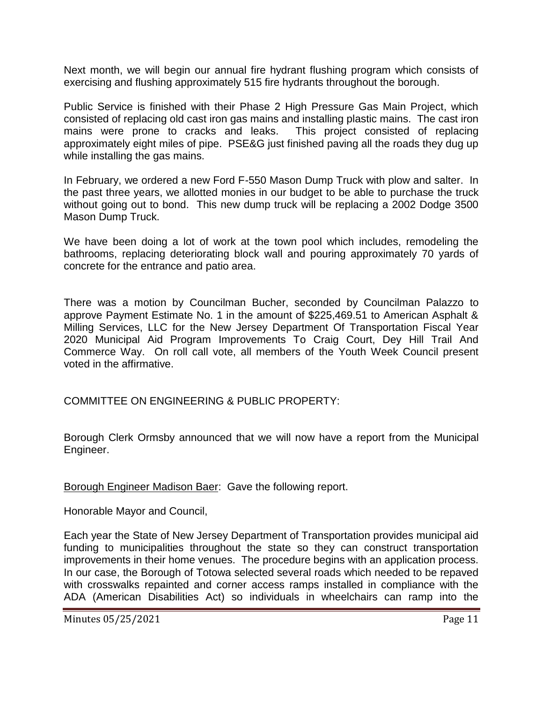Next month, we will begin our annual fire hydrant flushing program which consists of exercising and flushing approximately 515 fire hydrants throughout the borough.

Public Service is finished with their Phase 2 High Pressure Gas Main Project, which consisted of replacing old cast iron gas mains and installing plastic mains. The cast iron mains were prone to cracks and leaks. This project consisted of replacing approximately eight miles of pipe. PSE&G just finished paving all the roads they dug up while installing the gas mains.

In February, we ordered a new Ford F-550 Mason Dump Truck with plow and salter. In the past three years, we allotted monies in our budget to be able to purchase the truck without going out to bond. This new dump truck will be replacing a 2002 Dodge 3500 Mason Dump Truck.

We have been doing a lot of work at the town pool which includes, remodeling the bathrooms, replacing deteriorating block wall and pouring approximately 70 yards of concrete for the entrance and patio area.

There was a motion by Councilman Bucher, seconded by Councilman Palazzo to approve Payment Estimate No. 1 in the amount of \$225,469.51 to American Asphalt & Milling Services, LLC for the New Jersey Department Of Transportation Fiscal Year 2020 Municipal Aid Program Improvements To Craig Court, Dey Hill Trail And Commerce Way. On roll call vote, all members of the Youth Week Council present voted in the affirmative.

COMMITTEE ON ENGINEERING & PUBLIC PROPERTY:

Borough Clerk Ormsby announced that we will now have a report from the Municipal Engineer.

Borough Engineer Madison Baer: Gave the following report.

Honorable Mayor and Council,

Each year the State of New Jersey Department of Transportation provides municipal aid funding to municipalities throughout the state so they can construct transportation improvements in their home venues. The procedure begins with an application process. In our case, the Borough of Totowa selected several roads which needed to be repaved with crosswalks repainted and corner access ramps installed in compliance with the ADA (American Disabilities Act) so individuals in wheelchairs can ramp into the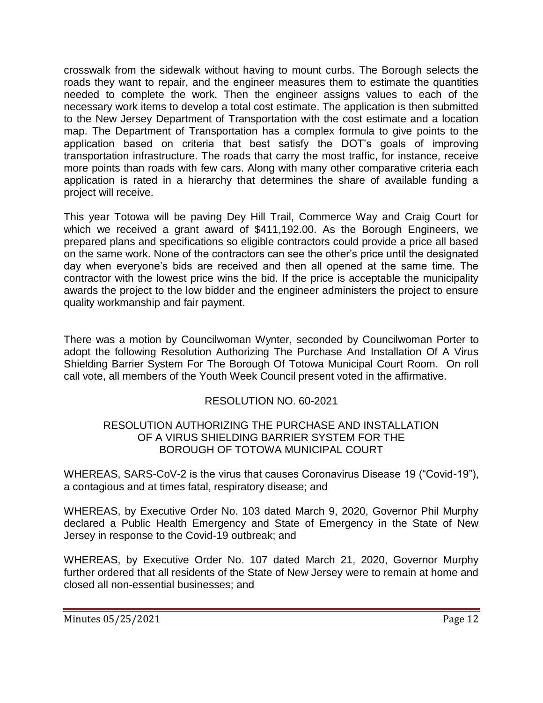crosswalk from the sidewalk without having to mount curbs. The Borough selects the roads they want to repair, and the engineer measures them to estimate the quantities needed to complete the work. Then the engineer assigns values to each of the necessary work items to develop a total cost estimate. The application is then submitted to the New Jersey Department of Transportation with the cost estimate and a location map. The Department of Transportation has a complex formula to give points to the application based on criteria that best satisfy the DOT's goals of improving transportation infrastructure. The roads that carry the most traffic, for instance, receive more points than roads with few cars. Along with many other comparative criteria each application is rated in a hierarchy that determines the share of available funding a project will receive.

This year Totowa will be paving Dey Hill Trail, Commerce Way and Craig Court for which we received a grant award of \$411,192.00. As the Borough Engineers, we prepared plans and specifications so eligible contractors could provide a price all based on the same work. None of the contractors can see the other's price until the designated day when everyone's bids are received and then all opened at the same time. The contractor with the lowest price wins the bid. If the price is acceptable the municipality awards the project to the low bidder and the engineer administers the project to ensure quality workmanship and fair payment.

There was a motion by Councilwoman Wynter, seconded by Councilwoman Porter to adopt the following Resolution Authorizing The Purchase And Installation Of A Virus Shielding Barrier System For The Borough Of Totowa Municipal Court Room. On roll call vote, all members of the Youth Week Council present voted in the affirmative.

# RESOLUTION NO. 60-2021

## RESOLUTION AUTHORIZING THE PURCHASE AND INSTALLATION OF A VIRUS SHIELDING BARRIER SYSTEM FOR THE BOROUGH OF TOTOWA MUNICIPAL COURT

WHEREAS, SARS-CoV-2 is the virus that causes Coronavirus Disease 19 ("Covid-19"), a contagious and at times fatal, respiratory disease; and

WHEREAS, by Executive Order No. 103 dated March 9, 2020, Governor Phil Murphy declared a Public Health Emergency and State of Emergency in the State of New Jersey in response to the Covid-19 outbreak; and

WHEREAS, by Executive Order No. 107 dated March 21, 2020, Governor Murphy further ordered that all residents of the State of New Jersey were to remain at home and closed all non-essential businesses; and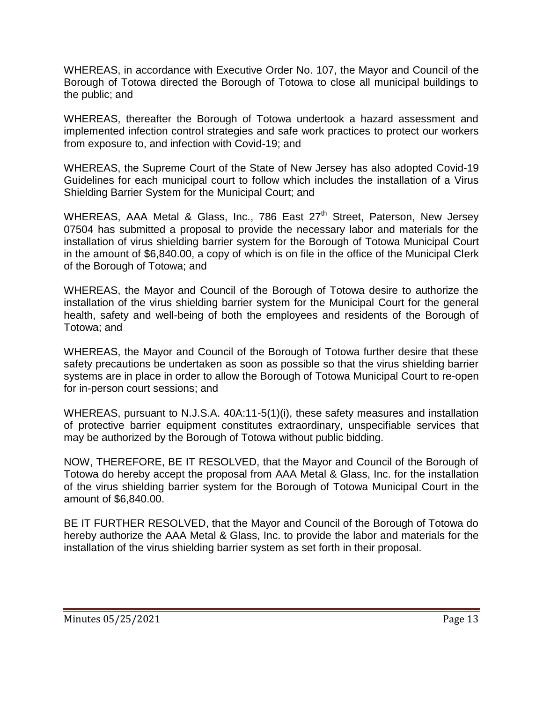WHEREAS, in accordance with Executive Order No. 107, the Mayor and Council of the Borough of Totowa directed the Borough of Totowa to close all municipal buildings to the public; and

WHEREAS, thereafter the Borough of Totowa undertook a hazard assessment and implemented infection control strategies and safe work practices to protect our workers from exposure to, and infection with Covid-19; and

WHEREAS, the Supreme Court of the State of New Jersey has also adopted Covid-19 Guidelines for each municipal court to follow which includes the installation of a Virus Shielding Barrier System for the Municipal Court; and

WHEREAS, AAA Metal & Glass, Inc., 786 East 27<sup>th</sup> Street, Paterson, New Jersey 07504 has submitted a proposal to provide the necessary labor and materials for the installation of virus shielding barrier system for the Borough of Totowa Municipal Court in the amount of \$6,840.00, a copy of which is on file in the office of the Municipal Clerk of the Borough of Totowa; and

WHEREAS, the Mayor and Council of the Borough of Totowa desire to authorize the installation of the virus shielding barrier system for the Municipal Court for the general health, safety and well-being of both the employees and residents of the Borough of Totowa; and

WHEREAS, the Mayor and Council of the Borough of Totowa further desire that these safety precautions be undertaken as soon as possible so that the virus shielding barrier systems are in place in order to allow the Borough of Totowa Municipal Court to re-open for in-person court sessions; and

WHEREAS, pursuant to N.J.S.A. 40A:11-5(1)(i), these safety measures and installation of protective barrier equipment constitutes extraordinary, unspecifiable services that may be authorized by the Borough of Totowa without public bidding.

NOW, THEREFORE, BE IT RESOLVED, that the Mayor and Council of the Borough of Totowa do hereby accept the proposal from AAA Metal & Glass, Inc. for the installation of the virus shielding barrier system for the Borough of Totowa Municipal Court in the amount of \$6,840.00.

BE IT FURTHER RESOLVED, that the Mayor and Council of the Borough of Totowa do hereby authorize the AAA Metal & Glass, Inc. to provide the labor and materials for the installation of the virus shielding barrier system as set forth in their proposal.